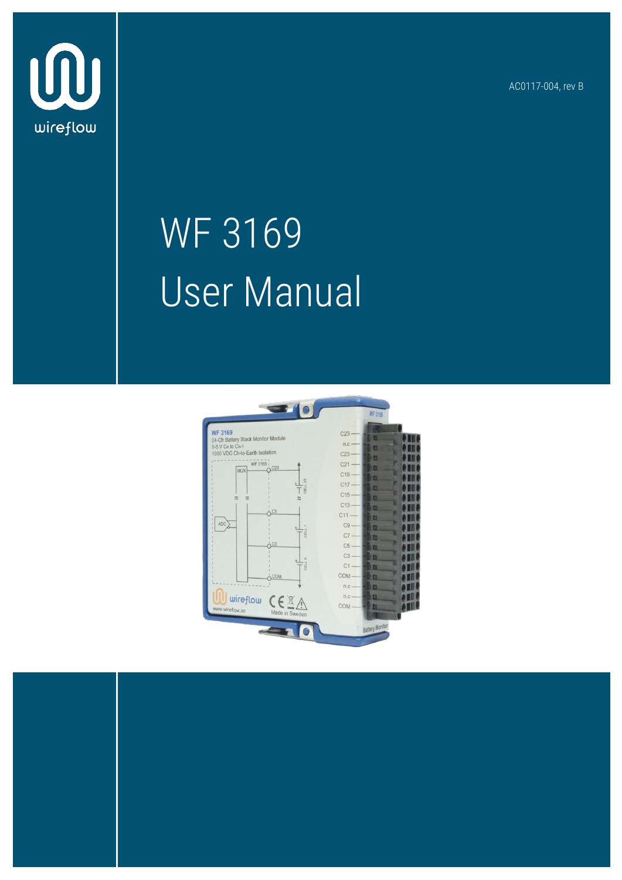AC0117-004, rev B



## WF 3169 User Manual



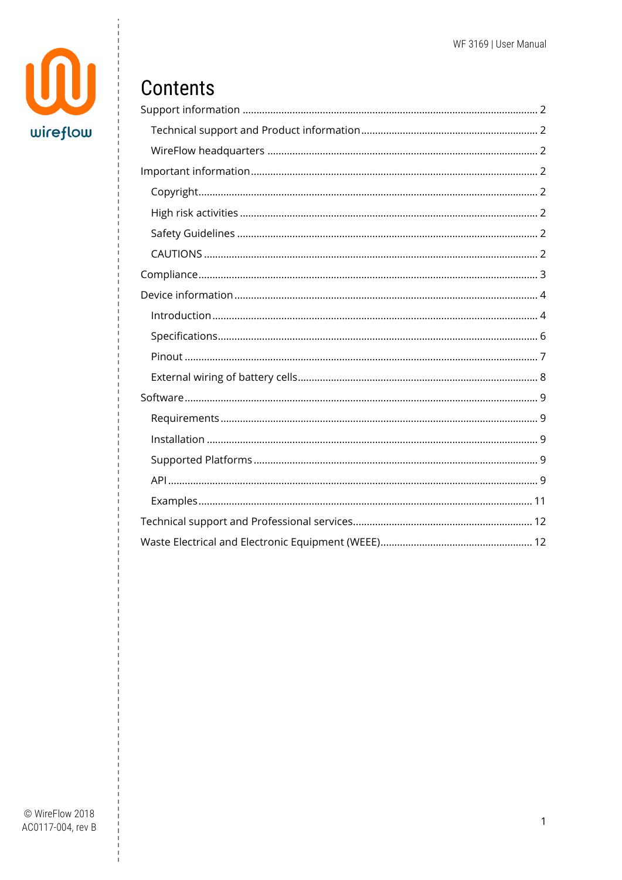

### Contents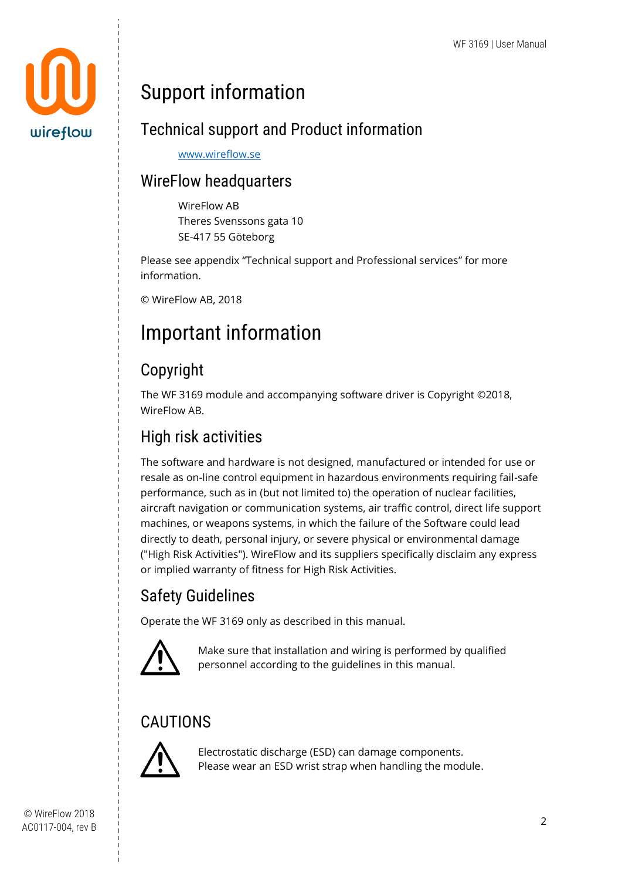

## <span id="page-2-0"></span>Support information

#### <span id="page-2-1"></span>Technical support and Product information

[www.wireflow.se](http://www.wireflow.se/)

#### <span id="page-2-2"></span>WireFlow headquarters

WireFlow AB Theres Svenssons gata 10 SE-417 55 Göteborg

Please see appendix "[Technical support and Professional services](#page-12-0)" for more information.

© WireFlow AB, 2018

## <span id="page-2-3"></span>Important information

#### <span id="page-2-4"></span>Copyright

The WF 3169 module and accompanying software driver is Copyright ©2018, WireFlow AB.

#### <span id="page-2-5"></span>High risk activities

The software and hardware is not designed, manufactured or intended for use or resale as on-line control equipment in hazardous environments requiring fail-safe performance, such as in (but not limited to) the operation of nuclear facilities, aircraft navigation or communication systems, air traffic control, direct life support machines, or weapons systems, in which the failure of the Software could lead directly to death, personal injury, or severe physical or environmental damage ("High Risk Activities"). WireFlow and its suppliers specifically disclaim any express or implied warranty of fitness for High Risk Activities.

#### <span id="page-2-6"></span>Safety Guidelines

Operate the WF 3169 only as described in this manual.



Make sure that installation and wiring is performed by qualified personnel according to the guidelines in this manual.

#### <span id="page-2-7"></span>**CAUTIONS**



Electrostatic discharge (ESD) can damage components. Please wear an ESD wrist strap when handling the module.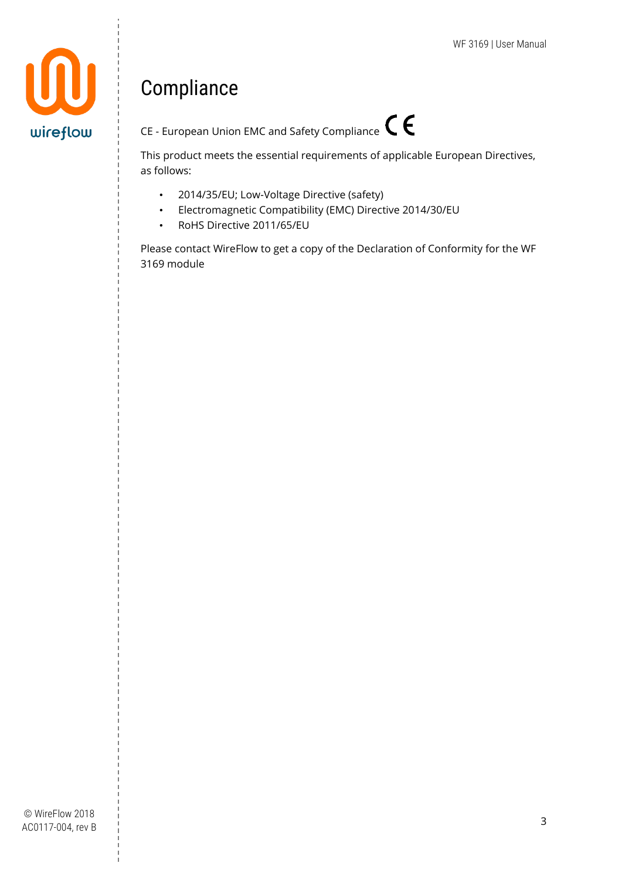

## <span id="page-3-0"></span>Compliance



This product meets the essential requirements of applicable European Directives, as follows:

- 2014/35/EU; Low-Voltage Directive (safety)
- Electromagnetic Compatibility (EMC) Directive 2014/30/EU
- RoHS Directive 2011/65/EU

Please contact WireFlow to get a copy of the Declaration of Conformity for the WF 3169 module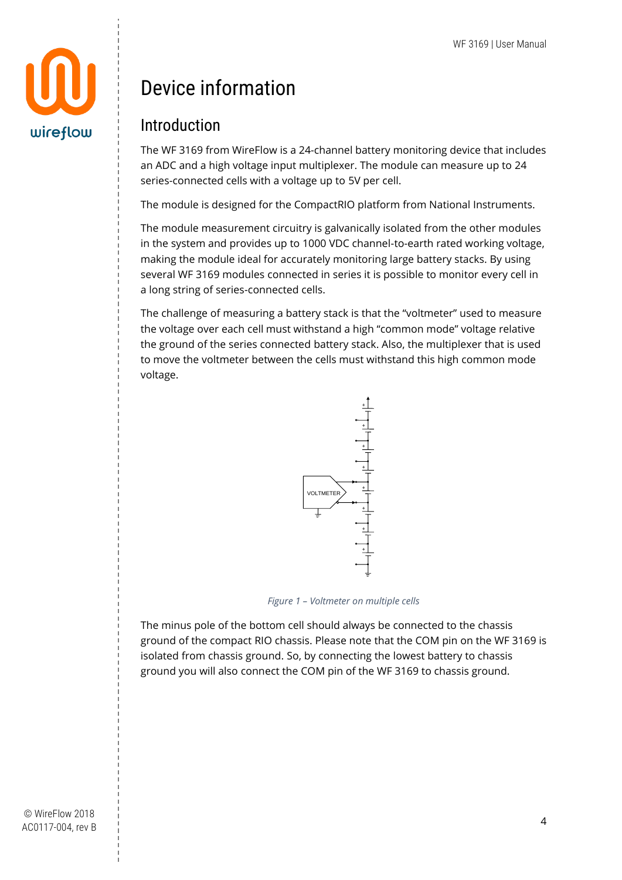

## <span id="page-4-0"></span>Device information

#### <span id="page-4-1"></span>Introduction

The WF 3169 from WireFlow is a 24-channel battery monitoring device that includes an ADC and a high voltage input multiplexer. The module can measure up to 24 series-connected cells with a voltage up to 5V per cell.

The module is designed for the CompactRIO platform from National Instruments.

The module measurement circuitry is galvanically isolated from the other modules in the system and provides up to 1000 VDC channel-to-earth rated working voltage, making the module ideal for accurately monitoring large battery stacks. By using several WF 3169 modules connected in series it is possible to monitor every cell in a long string of series-connected cells.

The challenge of measuring a battery stack is that the "voltmeter" used to measure the voltage over each cell must withstand a high "common mode" voltage relative the ground of the series connected battery stack. Also, the multiplexer that is used to move the voltmeter between the cells must withstand this high common mode voltage.



*Figure 1 – Voltmeter on multiple cells*

The minus pole of the bottom cell should always be connected to the chassis ground of the compact RIO chassis. Please note that the COM pin on the WF 3169 is isolated from chassis ground. So, by connecting the lowest battery to chassis ground you will also connect the COM pin of the WF 3169 to chassis ground.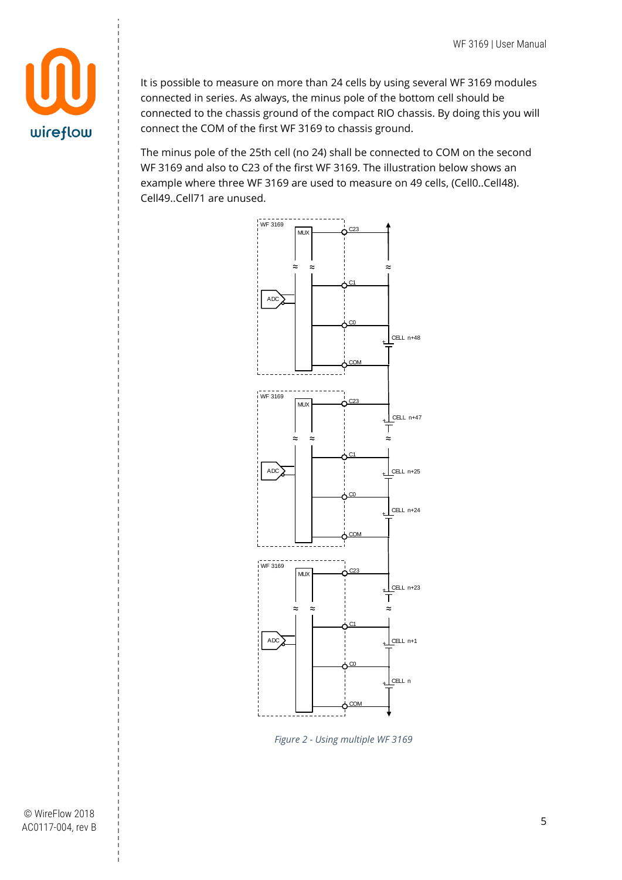

It is possible to measure on more than 24 cells by using several WF 3169 modules connected in series. As always, the minus pole of the bottom cell should be connected to the chassis ground of the compact RIO chassis. By doing this you will connect the COM of the first WF 3169 to chassis ground.

The minus pole of the 25th cell (no 24) shall be connected to COM on the second WF 3169 and also to C23 of the first WF 3169. The illustration below shows an example where three WF 3169 are used to measure on 49 cells, (Cell0..Cell48). Cell49..Cell71 are unused.



*Figure 2 - Using multiple WF 3169*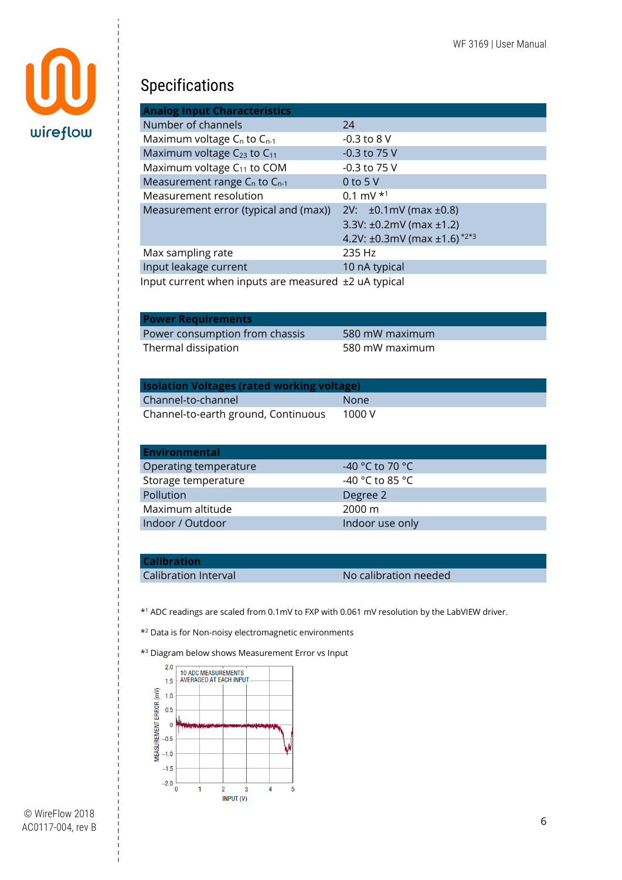

#### <span id="page-6-0"></span>Specifications

| <b>Analog Input Characteristics</b>                  |                                                                  |
|------------------------------------------------------|------------------------------------------------------------------|
| Number of channels                                   | 24                                                               |
| Maximum voltage C <sub>n</sub> to C <sub>n-1</sub>   | $-0.3$ to 8 V                                                    |
| Maximum voltage C <sub>23</sub> to C <sub>11</sub>   | -0.3 to 75 V                                                     |
| Maximum voltage C <sub>11</sub> to COM               | $-0.3$ to 75 V                                                   |
| Measurement range C <sub>n</sub> to C <sub>n-1</sub> | 0 to 5 $V$                                                       |
| Measurement resolution                               | 0.1 mV $*$ <sup>1</sup>                                          |
| Measurement error (typical and (max))                | $2V: \pm 0.1 \text{mV}$ (max $\pm 0.8$ )                         |
|                                                      | 3.3V: $\pm 0.2$ mV (max $\pm 1.2$ )                              |
|                                                      | 4.2V: $\pm 0.3$ mV (max $\pm 1.6$ ) <sup><math>*2*3</math></sup> |
| Max sampling rate                                    | 235 Hz                                                           |
| Input leakage current                                | 10 nA typical                                                    |
| Input current when inputs are measured ±2 uA typical |                                                                  |

| <b>Power Requirements</b>      |                |
|--------------------------------|----------------|
| Power consumption from chassis | 580 mW maximum |
| Thermal dissipation            | 580 mW maximum |

| <b>Isolation Voltages (rated working voltage)</b> |             |  |  |  |  |
|---------------------------------------------------|-------------|--|--|--|--|
| Channel-to-channel                                | <b>None</b> |  |  |  |  |
| Channel-to-earth ground, Continuous               | 1000 V      |  |  |  |  |

| <b>Environmental</b>  |                  |
|-----------------------|------------------|
| Operating temperature | -40 °C to 70 °C  |
| Storage temperature   | -40 °C to 85 °C  |
| Pollution             | Degree 2         |
| Maximum altitude      | $2000 \text{ m}$ |
| Indoor / Outdoor      | Indoor use only  |

#### **Calibration**

Calibration Interval **No calibration needed** 

\* <sup>1</sup> ADC readings are scaled from 0.1mV to FXP with 0.061 mV resolution by the LabVIEW driver.

\* <sup>2</sup> Data is for Non-noisy electromagnetic environments

\* <sup>3</sup> Diagram below shows Measurement Error vs Input

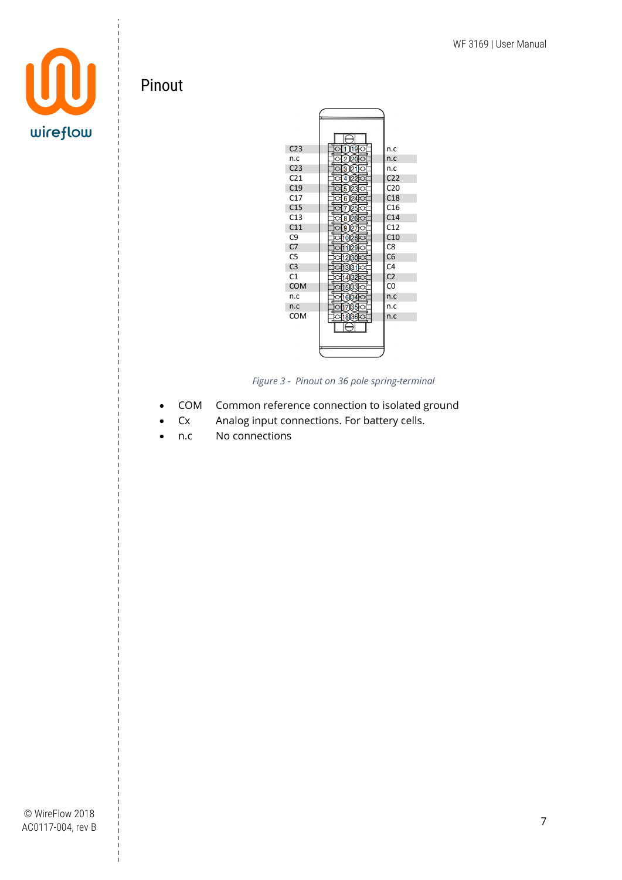

#### <span id="page-7-0"></span>Pinout



*Figure 3 - Pinout on 36 pole spring-terminal*

- COM Common reference connection to isolated ground
- Cx Analog input connections. For battery cells.
- n.c No connections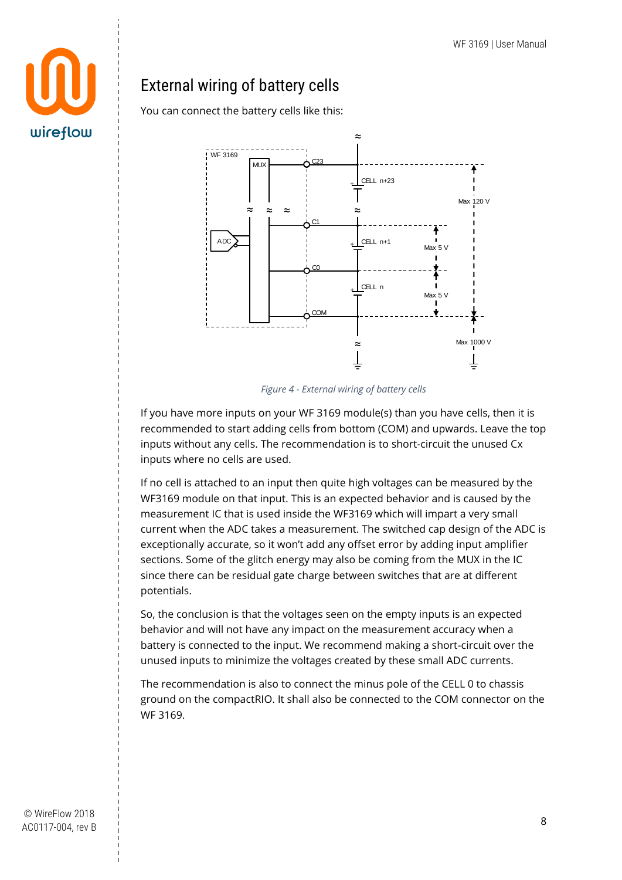# wireflow

#### <span id="page-8-0"></span>External wiring of battery cells

You can connect the battery cells like this:



*Figure 4 - External wiring of battery cells*

If you have more inputs on your WF 3169 module(s) than you have cells, then it is recommended to start adding cells from bottom (COM) and upwards. Leave the top inputs without any cells. The recommendation is to short-circuit the unused Cx inputs where no cells are used.

If no cell is attached to an input then quite high voltages can be measured by the WF3169 module on that input. This is an expected behavior and is caused by the measurement IC that is used inside the WF3169 which will impart a very small current when the ADC takes a measurement. The switched cap design of the ADC is exceptionally accurate, so it won't add any offset error by adding input amplifier sections. Some of the glitch energy may also be coming from the MUX in the IC since there can be residual gate charge between switches that are at different potentials.

So, the conclusion is that the voltages seen on the empty inputs is an expected behavior and will not have any impact on the measurement accuracy when a battery is connected to the input. We recommend making a short-circuit over the unused inputs to minimize the voltages created by these small ADC currents.

The recommendation is also to connect the minus pole of the CELL 0 to chassis ground on the compactRIO. It shall also be connected to the COM connector on the WF 3169.

© WireFlow 2018 AC0117-004, rev B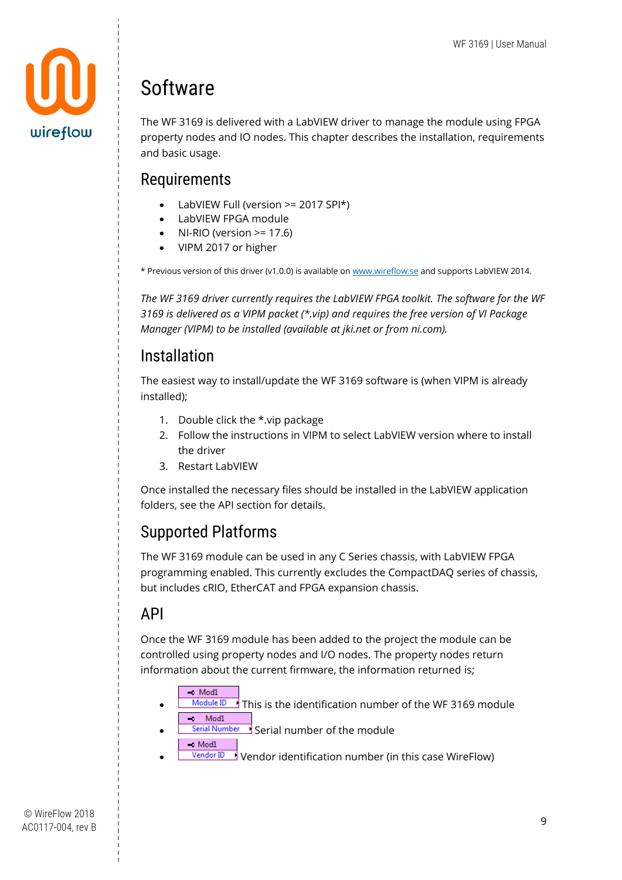

## <span id="page-9-0"></span>Software

The WF 3169 is delivered with a LabVIEW driver to manage the module using FPGA property nodes and IO nodes. This chapter describes the installation, requirements and basic usage.

#### <span id="page-9-1"></span>**Requirements**

- LabVIEW Full (version >= 2017 SPI\*)
- LabVIEW FPGA module
- $NI-RIO$  (version  $>= 17.6$ )
- VIPM 2017 or higher

\* Previous version of this driver (v1.0.0) is available o[n www.wireflow.se](http://www.wireflow.se/) and supports LabVIEW 2014.

*The WF 3169 driver currently requires the LabVIEW FPGA toolkit. The software for the WF 3169 is delivered as a VIPM packet (\*.vip) and requires the free version of VI Package Manager (VIPM) to be installed (available at jki.net or from ni.com).*

#### <span id="page-9-2"></span>Installation

The easiest way to install/update the WF 3169 software is (when VIPM is already installed);

- 1. Double click the \*.vip package
- 2. Follow the instructions in VIPM to select LabVIEW version where to install the driver
- 3. Restart LabVIEW

Once installed the necessary files should be installed in the LabVIEW application folders, see the API section for details.

#### <span id="page-9-3"></span>Supported Platforms

The WF 3169 module can be used in any C Series chassis, with LabVIEW FPGA programming enabled. This currently excludes the CompactDAQ series of chassis, but includes cRIO, EtherCAT and FPGA expansion chassis.

#### <span id="page-9-4"></span>API

Once the WF 3169 module has been added to the project the module can be controlled using property nodes and I/O nodes. The property nodes return information about the current firmware, the information returned is;

- $\sim$  Mod1  $\frac{\text{Module ID}}{\text{I}}$  This is the identification number of the WF 3169 module  $\rightarrow$  Mod1
- **Serial Number** Serial number of the module  $\sim$  Mod1
- **Vendor ID** Vendor identification number (in this case WireFlow)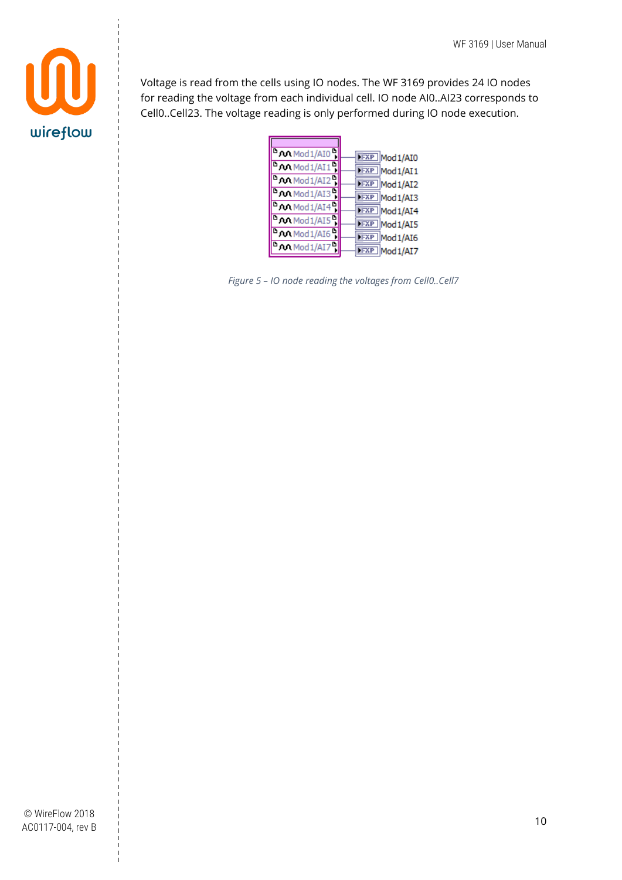

Voltage is read from the cells using IO nodes. The WF 3169 provides 24 IO nodes for reading the voltage from each individual cell. IO node AI0..AI23 corresponds to Cell0..Cell23. The voltage reading is only performed during IO node execution.

| <sup>D</sup> Mod <sub>1</sub> /AI0 -                | <b>FXP</b> Mod1/AI0 |
|-----------------------------------------------------|---------------------|
| <sup>D</sup> Mod <sub>1</sub> /AI1                  | <b>FXP</b> Mod1/AI1 |
| $\sqrt{\frac{D_{\text{A}}}{D_{\text{A}}}}$ Mod1/AI2 | <b>FXP</b> Mod1/AI2 |
| $\boxed{\text{b} \text{m}$ Mod1/AI3                 | <b>FXP</b> Mod1/AI3 |
| $\sqrt{\frac{D_{\text{A}}}{D_{\text{A}}}}$ Mod1/AI4 | <b>FXP</b> Mod1/AI4 |
| $\sim$ Mod1/AI5                                     | FXP Mod1/AI5        |
| $\sim$ Mod1/AI6                                     | <b>FXP</b> Mod1/AI6 |
| $\sim$ Mod1/AI7                                     | <b>FXP</b> Mod1/AI7 |

*Figure 5 – IO node reading the voltages from Cell0..Cell7*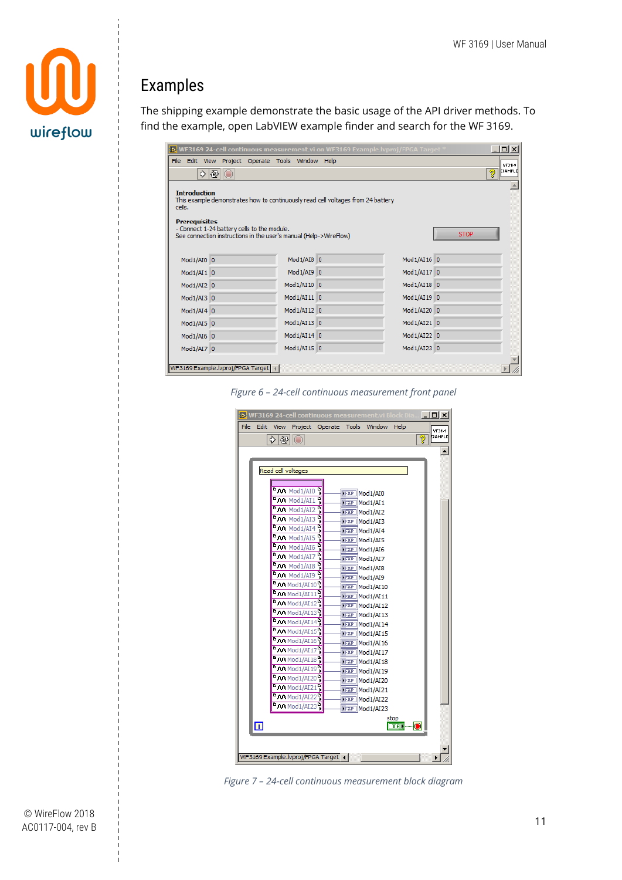

#### <span id="page-11-0"></span>Examples

The shipping example demonstrate the basic usage of the API driver methods. To find the example, open LabVIEW example finder and search for the WF 3169.

|                      |                                                                                                                                                                                                                                                                                               |                                                  | <b>b.</b> WF3169 24-cell continuous measurement vi on WF3169 Example.lvproj/FPGA Target <sup>#</sup> |  |             | $ \Box$ $\times$  |  |  |
|----------------------|-----------------------------------------------------------------------------------------------------------------------------------------------------------------------------------------------------------------------------------------------------------------------------------------------|--------------------------------------------------|------------------------------------------------------------------------------------------------------|--|-------------|-------------------|--|--|
|                      |                                                                                                                                                                                                                                                                                               | File Edit View Project Operate Tools Window Help |                                                                                                      |  |             | WF3169<br>EXAMPLE |  |  |
|                      | <b>Introduction</b>                                                                                                                                                                                                                                                                           |                                                  |                                                                                                      |  |             |                   |  |  |
| cells.               | This example demonstrates how to continuously read cell voltages from 24 battery                                                                                                                                                                                                              |                                                  |                                                                                                      |  |             |                   |  |  |
| <b>Prerequisites</b> |                                                                                                                                                                                                                                                                                               |                                                  |                                                                                                      |  |             |                   |  |  |
|                      |                                                                                                                                                                                                                                                                                               |                                                  |                                                                                                      |  | <b>STOP</b> |                   |  |  |
|                      |                                                                                                                                                                                                                                                                                               |                                                  |                                                                                                      |  |             |                   |  |  |
|                      |                                                                                                                                                                                                                                                                                               |                                                  |                                                                                                      |  |             |                   |  |  |
|                      |                                                                                                                                                                                                                                                                                               |                                                  |                                                                                                      |  |             |                   |  |  |
|                      |                                                                                                                                                                                                                                                                                               |                                                  |                                                                                                      |  |             |                   |  |  |
|                      |                                                                                                                                                                                                                                                                                               |                                                  |                                                                                                      |  |             |                   |  |  |
|                      |                                                                                                                                                                                                                                                                                               |                                                  |                                                                                                      |  |             |                   |  |  |
|                      |                                                                                                                                                                                                                                                                                               |                                                  |                                                                                                      |  |             |                   |  |  |
|                      |                                                                                                                                                                                                                                                                                               |                                                  |                                                                                                      |  |             |                   |  |  |
|                      | ହା<br>$\rightarrow$ $\otimes$ $\circ$<br>$Mod1/AI8$ 0<br>Mod1/AI16 0<br>$Mod1/AI9$ 0<br>Mod1/AI17 0<br>Mod1/AI10 0<br>$Mod1/AI18$ 0<br>$Mod1/AI11$ 0<br>Mod1/AI19 0<br>Mod1/AI12 0<br>Mod1/AI20 0<br>Mod1/AI13 0<br>Mod1/AI21 0<br>$Mod1/AI14$ 0<br>Mod1/AI22 0<br>Mod1/AI15 0<br>Mod1/AI23 0 |                                                  |                                                                                                      |  |             |                   |  |  |
|                      | - Connect 1-24 battery cells to the module.<br>See connection instructions in the user's manual (Help->WireFlow)<br>Mod1/AI0 0<br>Mod1/AI1 0<br>$Mod1/AI2$ 0<br>$Mod1/AI3$ 0<br>$Mod1/AI4$ 0<br>$Mod1/AI5$ 0<br>$Mod1/AI6$ 0<br>Mod1/AI7 0<br>WF3169 Example.lvproj/FPGA Target               |                                                  |                                                                                                      |  |             |                   |  |  |
|                      |                                                                                                                                                                                                                                                                                               |                                                  |                                                                                                      |  |             |                   |  |  |



|      |                |       |                                                                                                             |                                   | <b>b.</b> WF3169 24-cell continuous measurement.vi Block D |       | $   \Box   \times  $ |
|------|----------------|-------|-------------------------------------------------------------------------------------------------------------|-----------------------------------|------------------------------------------------------------|-------|----------------------|
| File | Edit           |       |                                                                                                             |                                   | View Project Operate Tools Window Help                     |       | WF3169<br>EXAMPLE    |
|      |                | ∻ା⊗∥⊜ |                                                                                                             |                                   |                                                            |       | Ø                    |
|      |                |       |                                                                                                             |                                   |                                                            |       |                      |
|      |                |       |                                                                                                             |                                   |                                                            |       |                      |
|      |                |       | Read cell voltages                                                                                          |                                   |                                                            |       |                      |
|      |                |       | <b>BOO</b> Mod <sub>1/AI0</sub>                                                                             | Ŗ                                 |                                                            |       |                      |
|      |                |       | <b>BOO</b> Mod1/AI1                                                                                         | Ŗ                                 | <b>NFXP Mod1/AI0</b>                                       |       |                      |
|      |                |       | <b>BOO</b> Mod1/AI2                                                                                         | D                                 | <b>NFXP</b> Mod1/AI1                                       |       |                      |
|      |                |       | no Mod1/AI3                                                                                                 |                                   | <b>NFXP</b> Mod1/AI2                                       |       |                      |
|      |                |       | n Mod1/AI4                                                                                                  |                                   | <b>NEXP Mod1/AI3</b><br><b>NEXP Mod1/AI4</b>               |       |                      |
|      |                |       | $^{\text{D}}$ Mod <sub>1</sub> /AI5 $^{\text{D}}$                                                           |                                   | <b>NEXP Mod1/AI5</b>                                       |       |                      |
|      |                |       | <b>DOO</b> Mod1/AI6                                                                                         |                                   | <b>NEXP Mod1/AI6</b>                                       |       |                      |
|      |                |       | n Mod1/AI7                                                                                                  |                                   | <b>NEXP Mod1/AI7</b>                                       |       |                      |
|      |                |       | no Mod1/AI8                                                                                                 |                                   | <b>NEXP Mod1/AI8</b>                                       |       |                      |
|      |                |       | no Mod1/AI9                                                                                                 |                                   | <b>NFXP Mod1/AI9</b>                                       |       |                      |
|      |                |       | $\frac{D_{\text{A}}\left(\frac{1}{2}\right)}{D_{\text{A}}\left(\frac{1}{2}\right)\left(\frac{1}{2}\right)}$ |                                   | <b>NFXP</b> Mod 1/AI 10                                    |       |                      |
|      |                |       | <b>DO Mod1/AI11</b>                                                                                         |                                   | <b>NFXP</b> Mod1/AI11                                      |       |                      |
|      |                |       | <sup>B</sup> MMod <sub>1</sub> /AI <sub>12</sub> <sup>B</sup>                                               |                                   | <b>NFXP</b> Mod1/AI12                                      |       |                      |
|      |                |       | <sup>B</sup> MMod1/AI13 <sup>B</sup>                                                                        |                                   | <b>FEXP Mod 1/AI 13</b>                                    |       |                      |
|      |                |       | <b>DOM</b> Mod1/AI14                                                                                        |                                   | <b>NFXP</b> Mod1/AI14                                      |       |                      |
|      |                |       | <b>DOM</b> Mod1/AI15                                                                                        |                                   | <b>NEXP Mod 1/AI 15</b>                                    |       |                      |
|      |                |       | <b>PAA</b> Mod1/AI16                                                                                        |                                   | <b>NEXP Mod 1/AI 16</b>                                    |       |                      |
|      |                |       | <sup>D</sup> AA Mod1/AI17                                                                                   |                                   | <b>NFXP</b> Mod1/AI17                                      |       |                      |
|      |                |       | <sup>D</sup> AA Mod 1/AI 18<br><b>DAN Mod 1/AI 19</b>                                                       |                                   | <b>NFXP</b> Mod1/AI18                                      |       |                      |
|      |                |       | <b>DOM</b> Mod 1/AI20 <sup>1</sup>                                                                          |                                   | <b>NFXP</b> Mod1/AI19                                      |       |                      |
|      |                |       | <sup>h</sup> MM Mod1/AI21                                                                                   |                                   | <b>NFXP</b> Mod1/AI20                                      |       |                      |
|      |                |       | <b>DOM</b> Mod 1/AI22                                                                                       |                                   | <b>NFXP</b> Mod1/AI21                                      |       |                      |
|      |                |       | <b>DOM</b> Mod 1/AI23                                                                                       |                                   | <b>NFXP</b> Mod1/AI22<br><b>NEXP Mod 1/AI23</b>            |       |                      |
|      |                |       |                                                                                                             |                                   |                                                            | stop  |                      |
|      | $\blacksquare$ |       |                                                                                                             |                                   |                                                            | TF I. |                      |
|      |                |       |                                                                                                             |                                   |                                                            |       |                      |
|      |                |       |                                                                                                             |                                   |                                                            |       |                      |
|      |                |       |                                                                                                             | WF3169 Example.lvproj/FPGA Target |                                                            |       | ▶                    |

*Figure 7 – 24-cell continuous measurement block diagram*